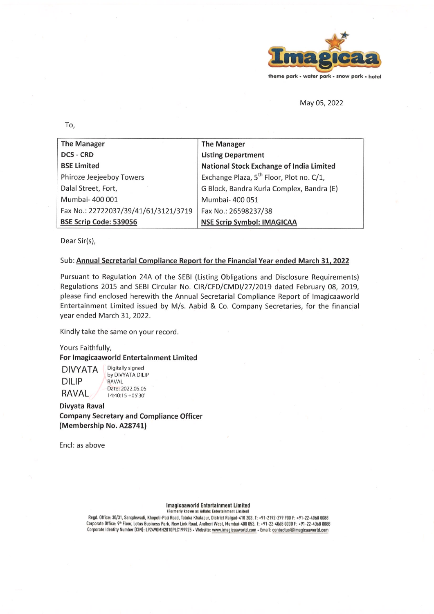

May 05, 2022

To.

| <b>The Manager</b>                   | <b>The Manager</b>                                   |  |
|--------------------------------------|------------------------------------------------------|--|
| <b>DCS - CRD</b>                     | <b>Listing Department</b>                            |  |
| <b>BSE Limited</b>                   | <b>National Stock Exchange of India Limited</b>      |  |
| Phiroze Jeejeeboy Towers             | Exchange Plaza, 5 <sup>th</sup> Floor, Plot no. C/1, |  |
| Dalal Street, Fort,                  | G Block, Bandra Kurla Complex, Bandra (E)            |  |
| Mumbai- 400 001                      | Mumbai- 400 051                                      |  |
| Fax No.: 22722037/39/41/61/3121/3719 | Fax No.: 26598237/38                                 |  |
| BSE Scrip Code: 539056               | <b>NSE Scrip Symbol: IMAGICAA</b>                    |  |

Dear Sir(s),

## Sub: Annual Secretarial Compliance Report for the Financial Year ended March 31, 2022

Pursuant to Regulation 24A of the SEBI (Listing Obligations and Disclosure Requirements) Regulations 2015 and SEBI Circular No. CIR/CFD/CMDI/27/2019 dated February 08, 2019, please find enclosed herewith the Annual Secretarial Compliance Report of Imagicaaworld Entertainment Limited issued by M/s. Aabid & Co. Company Secretaries, for the financial year ended March 31, 2022.

Kindly take the same on your record.

Yours Faithfully,

## For Imagicaaworld Entertainment Limited

Digitally signed **DIVYATA** by DIVYATA DILIP **DILIP** RAVAI Date: 2022.05.05 **RAVAL** 14:40:15 +05'30'

**Divyata Raval Company Secretary and Compliance Officer** (Membership No. A28741)

Encl: as above

### **Imagicaaworld Entertainment Limited**

(Formerly known as Adlabs Entertainment Limited)

Regd. Office: 30/31, Sangdewadi, Khopoli-Pali Road, Taluka Khalapur, District Raigad-410 203. T: +91-2192-279 900 F: +91-22-4068 0088 Corporate Office: 9th Floor, Lotus Business Park, New Link Road, Andheri West, Mumbai-400 053. T: +91-22-4068 0000 F: +91-22-4068 0088 Corporate Identity Number (CIN): L92490MH2010PLC199925 - Website: www.imagicaaworld.com - Email: contactus@imagicaaworld.com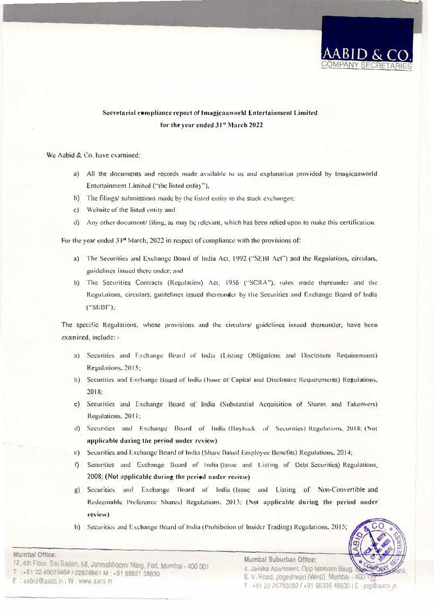

# Secretarial compliance report of Imagicaaworld Entertainment Limited for the year ended 31st March 2022

#### We Aabid & Co. have examined:

- a) All the documents and records made available to us and explanation provided by Imagicaaworld Entertainment Limited ("the listed entity"),
- **b)** The filings/ submissions made by the listed entity to the stock exchanges;
- **c) Websicc of the listed emi1y and**
- d) Any other document/ filing, as may be relevant, which has been relied upon to make this certification.

For the year ended 31<sup>st</sup> March, 2022 in respect of compliance with the provisions of:

- a) The Securities and Exchange Board of India Act, 1992 ("SEBI Act") and the Regulations, circulars, **guidelines issued there under; and**
- b) The Securities Contracts (Regulation) Act. 1956 ("SCRA"), rules made thereunder and the Regulations, circulars, guidelines issued thereunder by the Securities and Exchange Board of India ("SEBI");

The specific Regulations, whose provisions and the circulars/ guidelines issued thereunder, have been examined, include: -

- a) Securities and Exchange Board of India (Listing Obligations and Disclosure Requirements) **Re.gula1ions, 2015;**
- **b) Securities and Exchnnge Uoard of lodia (Issue of Capital and Disclosure Requirements) Regulations,** 2018;
- c) Securities and Exchange Board of India (Substantial Acquisition of Shares and Takeovers) Regulations. 2011;
- d) Securities and Exchange Board of India (Buyback of Securities) Regulations, 2018; (Not  $appliedble during the period under review)$
- c) Securities and Exchange Board of India (Share Based Employee Benefits) Regulations, 2014;
- f) Securities and Exchange Board of India (Issue and Listing of Debt Securities) Regulations, 2008; (Not applicable during the period under review)
- **g)** Securities **and** Bxchangc Board of India (Issue and Listing of Non-Convenible and Redeemable Preference Shares) Regulations, 2013; (Not applicable during the period under review)
- h) Securities and Exchange Board of India (Prohibition of Insider Trading) Regulations, 2015;



12, 4th Floor. Sai Sadan, 68, Janmabhoomi Marg, Fort. Mumbai - 400 001<br>T + +91 22 40025464 / 22828661 M + +91 98921 58830 **Laabid@aacs in I W www aacs in** 

**Mumbai Olf1ce:** 

4, Jamika Apartment, Opp Malcolm Baug. S V Road, Jogeshwan (West), Mumba . 400 1 *T* ;9J22267930921+9198336488301E JOg@aacs n

**Mumbal Suburban Office:**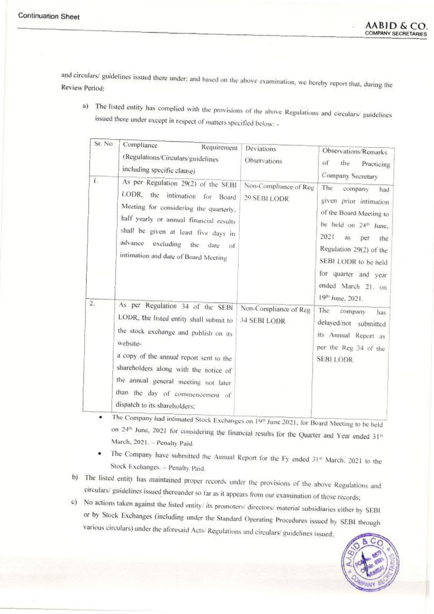and circulars/ guidelines issued there under; and based on the above examination, we hereby report that, during the Review Period:

a) The listed entity has complied with the provisions of the above Regulations and circulars/ guidelines issued there under except in respect of matters specified below: -

| Sr. No | Compliance<br>Requirement<br>(Regulations/Circulars/guidelines<br>including specific clause)                                                                                                                                                                                                                                     | Deviations<br>Observations            | Observations/Remarks<br>of<br>the Practicing<br>Company Secretary                                                                                                                                                                                                            |
|--------|----------------------------------------------------------------------------------------------------------------------------------------------------------------------------------------------------------------------------------------------------------------------------------------------------------------------------------|---------------------------------------|------------------------------------------------------------------------------------------------------------------------------------------------------------------------------------------------------------------------------------------------------------------------------|
| 17     | As per Regulation 29(2) of the SEBI<br>LODR, the intimation for Board<br>Meeting for considering the quarterly,<br>half yearly or annual financial results<br>shall be given at least five days in<br>advance excluding the date of<br>intimation and date of Board Meeting                                                      | Non-Compliance of Reg<br>29 SEBI LODR | The<br>company<br>had<br>given prior intimation<br>of the Board Meeting to<br>be held on 24 <sup>th</sup> June,<br>2021<br>as<br>per<br>the<br>Regulation 29(2) of the<br>SEBI LODR to be held<br>for quarter and year<br>ended March 21. on<br>19 <sup>th</sup> June, 2021. |
| 2.     | As per Regulation 34 of the SEBI<br>LODR, the listed entity shall submit to<br>the stock exchange and publish on its<br>website-<br>a copy of the annual report sent to the<br>shareholders along with the notice of<br>the annual general meeting not later<br>than the day of commencement of<br>dispatch to its shareholders; | Non-Compliance of Reg<br>34 SEBI LODR | The:<br>company<br>has<br>delayed/not submitted<br>its Annual Report as<br>per the Reg 34 of the<br><b>SEBILODR</b>                                                                                                                                                          |

The Company had intimated Stock Exchanges on 19th June 2021, for Board Meeting to be held  $\bullet$ on 24th June, 2021 for considering the financial results for the Quarter and Year ended 31st March, 2021. - Penalty Paid.

- The Company have submitted the Annual Report for the Fy ended 31st March, 2021 to the  $\bullet$ Stock Exchanges. - Penalty Paid.
- b) The listed entity has maintained proper records under the provisions of the above Regulations and circulars/ guidelines issued thereunder so far as it appears from our examination of those records;
- c) No actions taken against the listed entity/ its promoters/ directors/ material subsidiaries either by SEBI or by Stock Exchanges (including under the Standard Operating Procedures issued by SEBI through various circulars) under the aforesaid Acts/Regulations and circulars/guidelines issued;